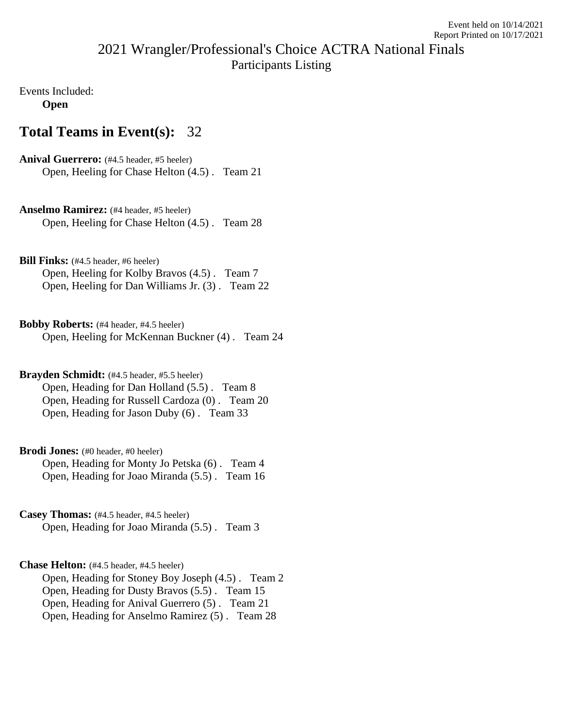## 2021 Wrangler/Professional's Choice ACTRA National Finals Participants Listing

Events Included: **Open**

## **Total Teams in Event(s):** 32

Anival Guerrero: (#4.5 header, #5 heeler) Open, Heeling for Chase Helton (4.5) . Team 21

**Anselmo Ramirez:** (#4 header, #5 heeler) Open, Heeling for Chase Helton (4.5) . Team 28

**Bill Finks:** (#4.5 header, #6 heeler) Open, Heeling for Kolby Bravos (4.5) . Team 7 Open, Heeling for Dan Williams Jr. (3) . Team 22

**Bobby Roberts:** (#4 header, #4.5 heeler) Open, Heeling for McKennan Buckner (4) . Team 24

**Brayden Schmidt:** (#4.5 header, #5.5 heeler) Open, Heading for Dan Holland (5.5) . Team 8 Open, Heading for Russell Cardoza (0) . Team 20 Open, Heading for Jason Duby (6) . Team 33

Brodi Jones: (#0 header, #0 heeler) Open, Heading for Monty Jo Petska (6) . Team 4 Open, Heading for Joao Miranda (5.5) . Team 16

**Casey Thomas:** (#4.5 header, #4.5 heeler) Open, Heading for Joao Miranda (5.5) . Team 3

**Chase Helton:** (#4.5 header, #4.5 heeler) Open, Heading for Stoney Boy Joseph (4.5) . Team 2 Open, Heading for Dusty Bravos (5.5) . Team 15 Open, Heading for Anival Guerrero (5) . Team 21 Open, Heading for Anselmo Ramirez (5) . Team 28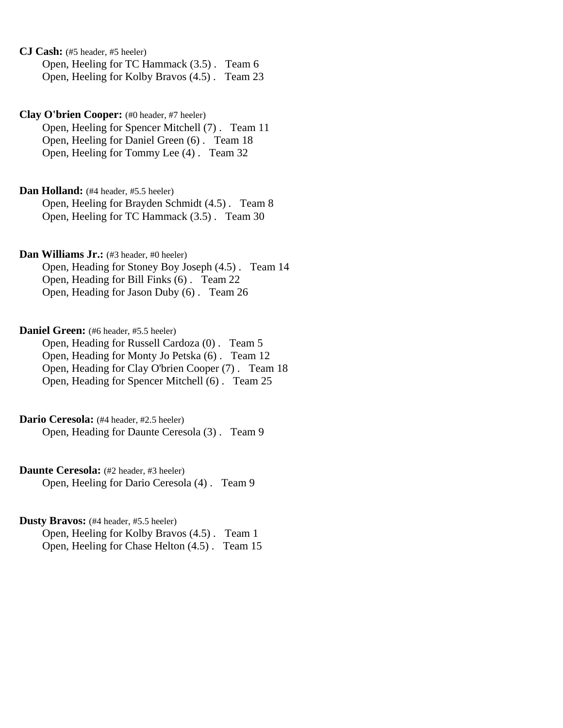**CJ Cash:** (#5 header, #5 heeler) Open, Heeling for TC Hammack (3.5) . Team 6 Open, Heeling for Kolby Bravos (4.5) . Team 23

**Clay O'brien Cooper:** (#0 header, #7 heeler) Open, Heeling for Spencer Mitchell (7) . Team 11 Open, Heeling for Daniel Green (6) . Team 18 Open, Heeling for Tommy Lee (4) . Team 32

Dan Holland: (#4 header, #5.5 heeler) Open, Heeling for Brayden Schmidt (4.5) . Team 8 Open, Heeling for TC Hammack (3.5) . Team 30

**Dan Williams Jr.:** (#3 header, #0 heeler) Open, Heading for Stoney Boy Joseph (4.5) . Team 14 Open, Heading for Bill Finks (6) . Team 22 Open, Heading for Jason Duby (6) . Team 26

**Daniel Green:** (#6 header, #5.5 heeler) Open, Heading for Russell Cardoza (0) . Team 5 Open, Heading for Monty Jo Petska (6) . Team 12 Open, Heading for Clay O'brien Cooper (7) . Team 18 Open, Heading for Spencer Mitchell (6) . Team 25

Dario Ceresola: (#4 header, #2.5 heeler) Open, Heading for Daunte Ceresola (3) . Team 9

**Daunte Ceresola:** (#2 header, #3 heeler) Open, Heeling for Dario Ceresola (4) . Team 9

**Dusty Bravos:** (#4 header, #5.5 heeler) Open, Heeling for Kolby Bravos (4.5) . Team 1 Open, Heeling for Chase Helton (4.5) . Team 15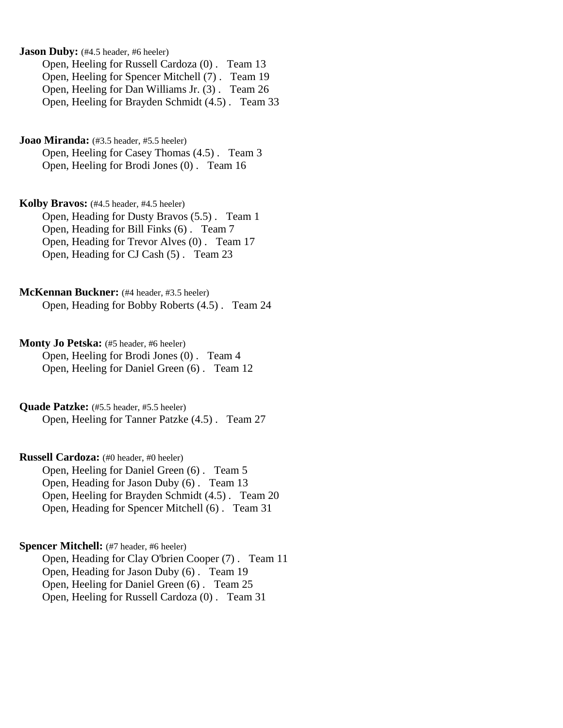**Jason Duby:** (#4.5 header, #6 heeler) Open, Heeling for Russell Cardoza (0) . Team 13 Open, Heeling for Spencer Mitchell (7) . Team 19 Open, Heeling for Dan Williams Jr. (3) . Team 26 Open, Heeling for Brayden Schmidt (4.5) . Team 33

**Joao Miranda:** (#3.5 header, #5.5 heeler) Open, Heeling for Casey Thomas (4.5) . Team 3 Open, Heeling for Brodi Jones (0) . Team 16

**Kolby Bravos:** (#4.5 header, #4.5 heeler) Open, Heading for Dusty Bravos (5.5) . Team 1 Open, Heading for Bill Finks (6) . Team 7 Open, Heading for Trevor Alves (0) . Team 17 Open, Heading for CJ Cash (5) . Team 23

**McKennan Buckner:** (#4 header, #3.5 heeler) Open, Heading for Bobby Roberts (4.5) . Team 24

**Monty Jo Petska:** (#5 header, #6 heeler) Open, Heeling for Brodi Jones (0) . Team 4 Open, Heeling for Daniel Green (6) . Team 12

**Quade Patzke:** (#5.5 header, #5.5 heeler) Open, Heeling for Tanner Patzke (4.5) . Team 27

**Russell Cardoza:** (#0 header, #0 heeler) Open, Heeling for Daniel Green (6) . Team 5 Open, Heading for Jason Duby (6) . Team 13 Open, Heeling for Brayden Schmidt (4.5) . Team 20 Open, Heading for Spencer Mitchell (6) . Team 31

**Spencer Mitchell:** (#7 header, #6 heeler) Open, Heading for Clay O'brien Cooper (7) . Team 11 Open, Heading for Jason Duby (6) . Team 19 Open, Heeling for Daniel Green (6) . Team 25 Open, Heeling for Russell Cardoza (0) . Team 31